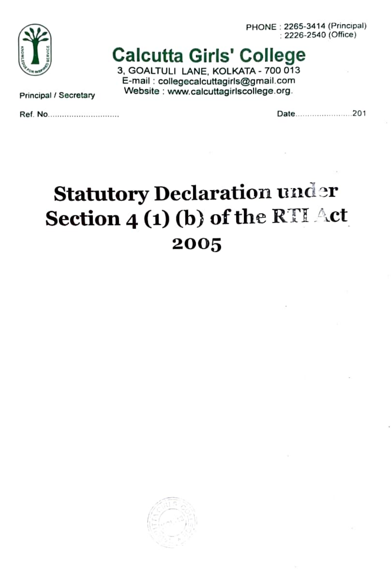PHONE : 2265-34 14 (Principal) 2226-2540 (Ofice)



### Calcutta Girls' College

3, GOALTULI LANE, KOLKATA - 700 013 E-mail:collegecalcuttagirls@gmail.com Principal / Secretary Website: www.calcuttagirlscollege.org.

Ret. NO.... \*\* \*\*\*\*\*\*\*\*\*\*\*\* Date.... ..201

# Statutory Declaration under Section  $4(1)(b)$  of the RTI Act 2005

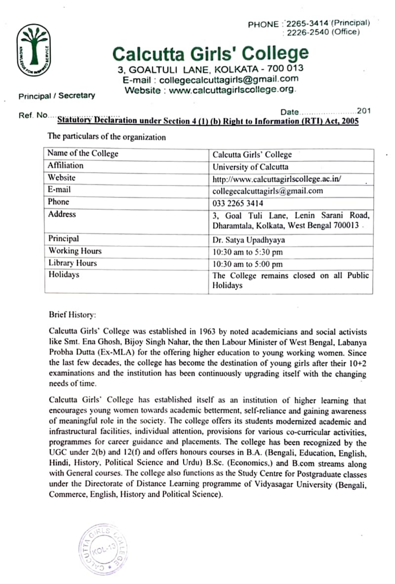PHONE: 2265-3414 (Principal) 2226-2540 (Office)



## Calcutta Girls' College

3, GOALTULI LANE, KOLKATA - 700 013 E-mail: collegecalcuttagirls@gmail.com Principal / Secretary Website: www.calcuttagirlscollege.org.

#### 201<br>201 Bratutory Declaration under Section 4(1) (b) Right to Information (RTI) Act, 2005

The particulars of the organization

| Name of the College | Calcutta Girls' College                                                           |  |  |
|---------------------|-----------------------------------------------------------------------------------|--|--|
| Affiliation         | University of Calcutta                                                            |  |  |
| Website             | http://www.calcuttagirlscollege.ac.in/                                            |  |  |
| E-mail              | collegecalcuttagirls@gmail.com                                                    |  |  |
| Phone               | 033 2265 3414                                                                     |  |  |
| <b>Address</b>      | 3, Goal Tuli Lane, Lenin Sarani Road.<br>Dharamtala, Kolkata, West Bengal 700013. |  |  |
| Principal           | Dr. Satya Upadhyaya                                                               |  |  |
| Working Hours       | 10:30 am to 5:30 pm                                                               |  |  |
| Library Hours       | 10:30 am to 5:00 pm                                                               |  |  |
| Holidays            | The College remains closed on all Public<br>Holidays                              |  |  |

Brief History

Calcutta Girls' College was established in 1963 by noted academicians and social activists like Smt. Ena Ghosh. Bijoy Singh Nahar, the then Labour Minister of West Bengal, Labanya Probha Dutta (Ex-MLA) for the offering higher education to young working women. Since the last few decades, the college has become the destination of young girls after their  $10+2$ examinations and the institution has been continuously upgrading itself with the changing needs of time.

Calcutta Girls" College has established itself as an institution of higher learning that encourages young women towards academic betterment, self-reliance and gaining awareness of meaningful role in the society. The ecollege oflers its students modemized academic and infrastructural facilities, individual attention, provisions for various co-curricular activities, programmes for career guidance and placements. The college has been recognized by the UGC under  $2(b)$  and  $12(f)$  and offers honours courses in B.A. (Bengali, Education, English, Hindi, History. Political Science and Urdu) B.Sc. (Economics.) and B.com streams along with General courses. The college also functions as the Study Centre for Postgraduate classes under the Directorate of Distance Learning programme of Vidyasagar University (Bengali, Commerce, English, History and Political Science).

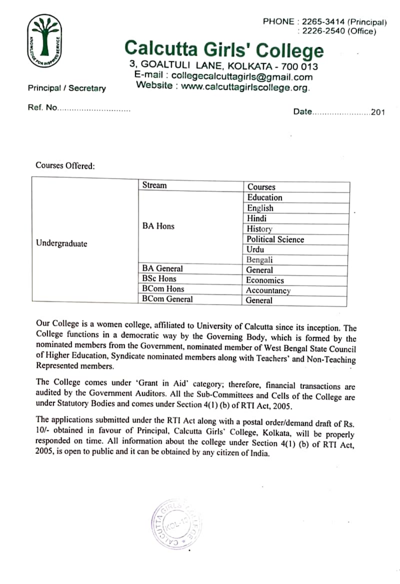

PHONE: 2265-3414 (Principal) 2226-2540 (Office)

# Calcutta Girls' College

3. GOALTULI LANE, KOLKATA - 700 013 E-mail: collegecalcuttagirls@gmail.com Principal / Secretary Website : www.calcuttagirlscollege.org.

Ref. INO...\*\* \*\*\*\*\*\*\*\*\*\*\*\*\*\*\* Dale.. \*\*\*\*\*\*\*\*\*\*\*\*\* .201

#### Courses Offered:

| Undergraduate | Stream              | Courses                  |  |
|---------------|---------------------|--------------------------|--|
|               |                     | Education                |  |
|               |                     | English                  |  |
|               |                     | Hindi                    |  |
|               | <b>BA Hons</b>      | History                  |  |
|               |                     | <b>Political Science</b> |  |
|               |                     | Urdu                     |  |
|               |                     | Bengali                  |  |
|               | <b>BA</b> General   | General                  |  |
|               | <b>BSc Hons</b>     | Economics                |  |
|               | <b>BCom Hons</b>    | Accountancy              |  |
|               | <b>BCom General</b> | General                  |  |

Our College is a women college, affiliated to University of Calcutta since its inception. The College functions in a democratic way by the Governing Body, which is formed by the of Higher Education, Syndicate nominated members along with Teachers' and Non-Teaching<br>Represented members.

The College comes under 'Grant in Aid' category; therefore, financial transactions are audited by the Government Auditors. All the Sub-Committees and Cells of the College are under Statutory Bodies and comes under Section 4(1) (6) of RTI Act, 2005.

The applications submitted under the RTI Act along with a postal order/demand draft of Rs. 10/- obtained in favour of Principal, Calcutta Girls' College, Kolkata, will be properly responded on time. All information about the college under Section 4(1) (6) of RTI Act, 2005, is open to public and it can be obtained by any citizen of India.